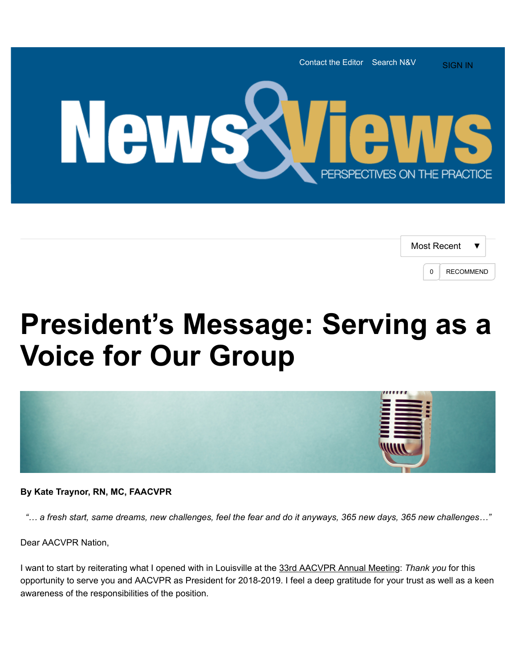

| Most Recent |                  |
|-------------|------------------|
| U           | <b>RECOMMEND</b> |

## **President's Message: Serving as a Voice for Our Group**



**By Kate Traynor, RN, MC, FAACVPR**

 *"… a fresh start, same dreams, new challenges, feel the fear and do it anyways, 365 new days, 365 new challenges…"*

Dear AACVPR Nation,

I want to start by reiterating what I opened with in Louisville at the [33rd AACVPR Annual Meeting:](http://www.aacvpr.org/Events-Education/33rd-Annual-Meeting/33rd-Annual-Meeting) *Thank you* for this opportunity to serve you and AACVPR as President for 2018-2019. I feel a deep gratitude for your trust as well as a keen awareness of the responsibilities of the position.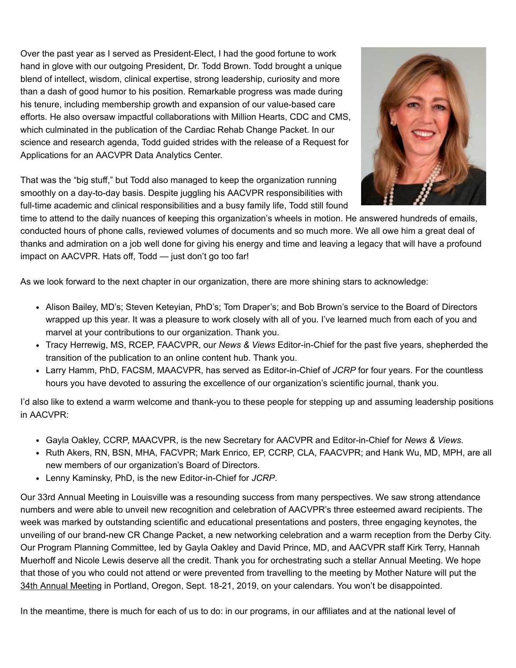Over the past year as I served as President-Elect, I had the good fortune to work hand in glove with our outgoing President, Dr. Todd Brown. Todd brought a unique blend of intellect, wisdom, clinical expertise, strong leadership, curiosity and more than a dash of good humor to his position. Remarkable progress was made during his tenure, including membership growth and expansion of our value-based care efforts. He also oversaw impactful collaborations with Million Hearts, CDC and CMS, which culminated in the publication of the Cardiac Rehab Change Packet. In our science and research agenda, Todd guided strides with the release of a Request for Applications for an AACVPR Data Analytics Center.



That was the "big stuff," but Todd also managed to keep the organization running smoothly on a day-to-day basis. Despite juggling his AACVPR responsibilities with full-time academic and clinical responsibilities and a busy family life, Todd still found

time to attend to the daily nuances of keeping this organization's wheels in motion. He answered hundreds of emails, conducted hours of phone calls, reviewed volumes of documents and so much more. We all owe him a great deal of thanks and admiration on a job well done for giving his energy and time and leaving a legacy that will have a profound impact on AACVPR. Hats off, Todd — just don't go too far!

As we look forward to the next chapter in our organization, there are more shining stars to acknowledge:

- Alison Bailey, MD's; Steven Keteyian, PhD's; Tom Draper's; and Bob Brown's service to the Board of Directors wrapped up this year. It was a pleasure to work closely with all of you. I've learned much from each of you and marvel at your contributions to our organization. Thank you.
- Tracy Herrewig, MS, RCEP, FAACVPR, our *News & Views* Editor-in-Chief for the past five years, shepherded the transition of the publication to an online content hub. Thank you.
- Larry Hamm, PhD, FACSM, MAACVPR, has served as Editor-in-Chief of *JCRP* for four years. For the countless hours you have devoted to assuring the excellence of our organization's scientific journal, thank you.

I'd also like to extend a warm welcome and thank-you to these people for stepping up and assuming leadership positions in AACVPR:

- Gayla Oakley, CCRP, MAACVPR, is the new Secretary for AACVPR and Editor-in-Chief for *News & Views*.
- Ruth Akers, RN, BSN, MHA, FACVPR; Mark Enrico, EP, CCRP, CLA, FAACVPR; and Hank Wu, MD, MPH, are all new members of our organization's Board of Directors.
- Lenny Kaminsky, PhD, is the new Editor-in-Chief for *JCRP*.

Our 33rd Annual Meeting in Louisville was a resounding success from many perspectives. We saw strong attendance numbers and were able to unveil new recognition and celebration of AACVPR's three esteemed award recipients. The week was marked by outstanding scientific and educational presentations and posters, three engaging keynotes, the unveiling of our brand-new CR Change Packet, a new networking celebration and a warm reception from the Derby City. Our Program Planning Committee, led by Gayla Oakley and David Prince, MD, and AACVPR staff Kirk Terry, Hannah Muerhoff and Nicole Lewis deserve all the credit. Thank you for orchestrating such a stellar Annual Meeting. We hope that those of you who could not attend or were prevented from travelling to the meeting by Mother Nature will put the [34th Annual Meeting](https://www.aacvpr.org/Future-Annual-Meetings) in Portland, Oregon, Sept. 18-21, 2019, on your calendars. You won't be disappointed.

In the meantime, there is much for each of us to do: in our programs, in our affiliates and at the national level of